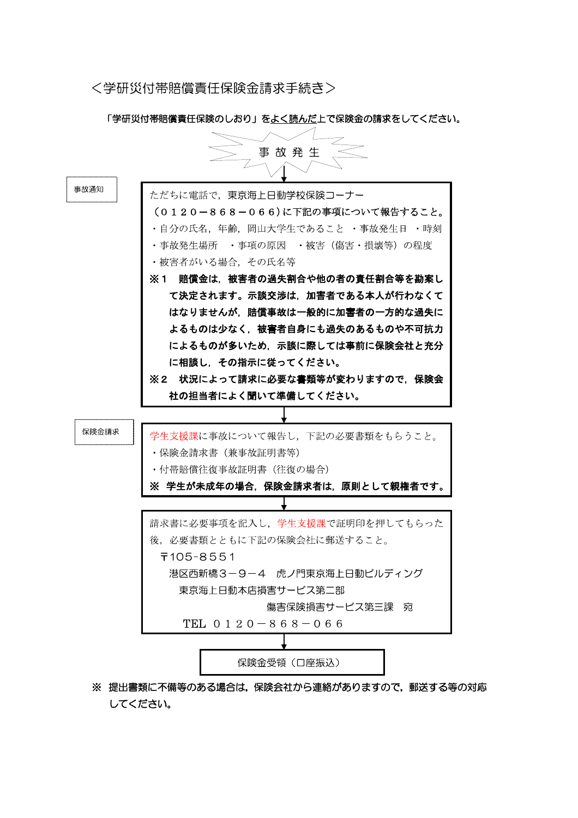<学研災付帯賠償責任保険金請求手続き>

「学研災付帯賠償責任保険のしおり」をよく読んだ上で保険金の請求をしてください。

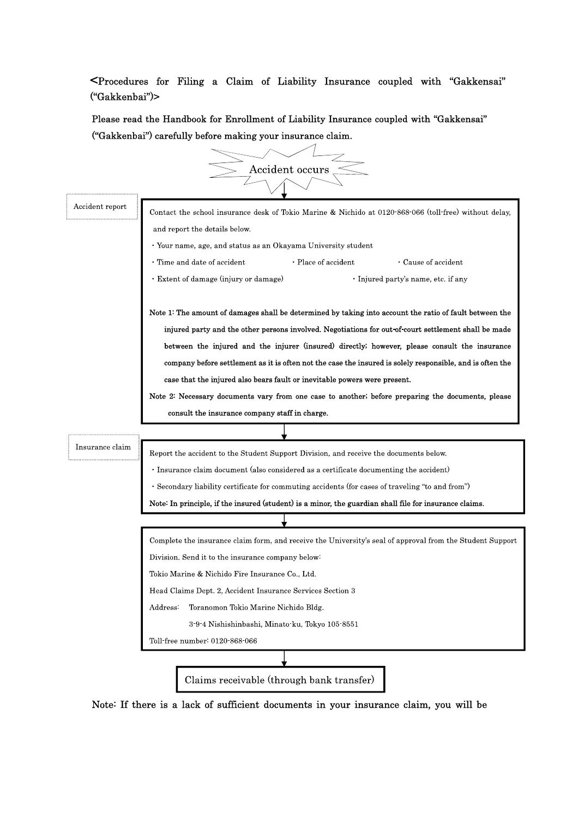<Procedures for Filing a Claim of Liability Insurance coupled with "Gakkensai" ("Gakkenbai")>

Please read the Handbook for Enrollment of Liability Insurance coupled with "Gakkensai" ("Gakkenbai") carefully before making your insurance claim.



Note: If there is a lack of sufficient documents in your insurance claim, you will be